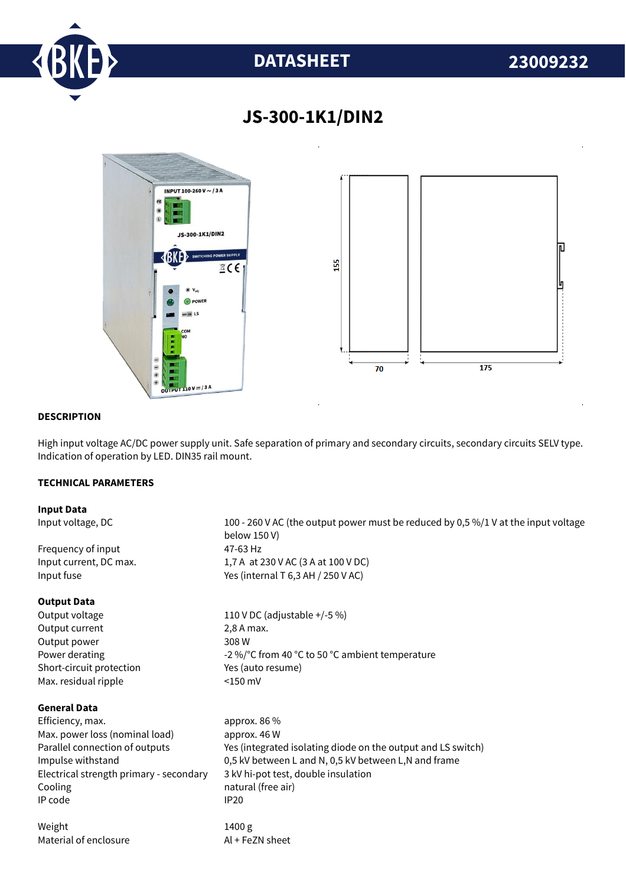

# **DATASHEET 23009232**



# **JS-300-1K1/DIN2**

## **DESCRIPTION**

High input voltage AC/DC power supply unit. Safe separation of primary and secondary circuits, secondary circuits SELV type. Indication of operation by LED. DIN35 rail mount.

## **TECHNICAL PARAMETERS**

#### **Input Data**

Input voltage, DC 100 - 260 V AC (the output power must be reduced by 0,5 %/1 V at the input voltage below 150 V) Frequency of input 47-63 Hz Input current, DC max. 1,7 A at 230 V AC (3 A at 100 V DC) Input fuse  $Y$ es (internal T 6,3 AH / 250 V AC) **Output Data** Output voltage 110 V DC (adjustable +/-5 %) Output current 2,8 A max. Output power 308 W Power derating  $-2\%$  °C from 40 °C to 50 °C ambient temperature Short-circuit protection Yes (auto resume) Max. residual ripple <150 mV **General Data** Efficiency. max. approx. 86 % Max. power loss (nominal load) approx. 46 W Parallel connection of outputs Yes (integrated isolating diode on the output and LS switch) Impulse withstand 0,5 kV between L and N, 0,5 kV between L,N and frame Electrical strength primary - secondary 3 kV hi-pot test, double insulation Cooling **natural** (free air) IP code IP20 Weight 1400 g Material of enclosure Al + FeZN sheet